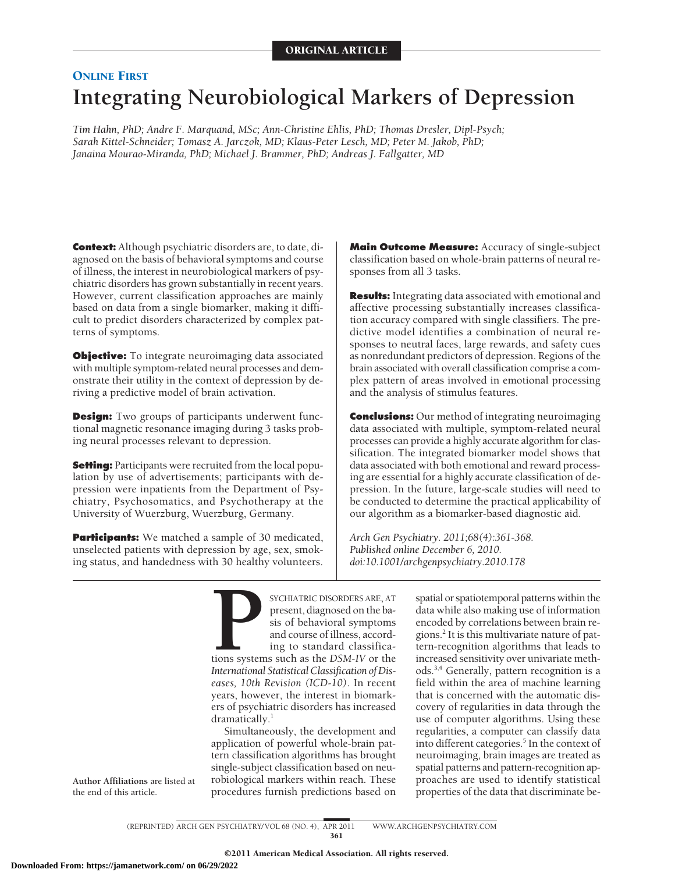# **ONLINE FIRST Integrating Neurobiological Markers of Depression**

*Tim Hahn, PhD; Andre F. Marquand, MSc; Ann-Christine Ehlis, PhD; Thomas Dresler, Dipl-Psych; Sarah Kittel-Schneider; Tomasz A. Jarczok, MD; Klaus-Peter Lesch, MD; Peter M. Jakob, PhD; Janaina Mourao-Miranda, PhD; Michael J. Brammer, PhD; Andreas J. Fallgatter, MD*

**Context:** Although psychiatric disorders are, to date, diagnosed on the basis of behavioral symptoms and course of illness, the interest in neurobiological markers of psychiatric disorders has grown substantially in recent years. However, current classification approaches are mainly based on data from a single biomarker, making it difficult to predict disorders characterized by complex patterns of symptoms.

**Objective:** To integrate neuroimaging data associated with multiple symptom-related neural processes and demonstrate their utility in the context of depression by deriving a predictive model of brain activation.

**Design:** Two groups of participants underwent functional magnetic resonance imaging during 3 tasks probing neural processes relevant to depression.

**Setting:** Participants were recruited from the local population by use of advertisements; participants with depression were inpatients from the Department of Psychiatry, Psychosomatics, and Psychotherapy at the University of Wuerzburg, Wuerzburg, Germany.

**Participants:** We matched a sample of 30 medicated, unselected patients with depression by age, sex, smoking status, and handedness with 30 healthy volunteers.

**Main Outcome Measure:** Accuracy of single-subject classification based on whole-brain patterns of neural responses from all 3 tasks.

**Results:** Integrating data associated with emotional and affective processing substantially increases classification accuracy compared with single classifiers. The predictive model identifies a combination of neural responses to neutral faces, large rewards, and safety cues as nonredundant predictors of depression. Regions of the brain associated with overall classification comprise a complex pattern of areas involved in emotional processing and the analysis of stimulus features.

**Conclusions:** Our method of integrating neuroimaging data associated with multiple, symptom-related neural processes can provide a highly accurate algorithm for classification. The integrated biomarker model shows that data associated with both emotional and reward processing are essential for a highly accurate classification of depression. In the future, large-scale studies will need to be conducted to determine the practical applicability of our algorithm as a biomarker-based diagnostic aid.

*Arch Gen Psychiatry. 2011;68(4):361-368. Published online December 6, 2010. doi:10.1001/archgenpsychiatry.2010.178*

**PROBUTE SYCHIATRIC DISORDERS ARE, AT**<br>
present, diagnosed on the basis of behavioral symptoms<br>
and course of illness, accord-<br>
ing to standard classifica-<br>
International Statistical Classification of Dispresent, diagnosed on the basis of behavioral symptoms and course of illness, according to standard classifications systems such as the *DSM-IV* or the *International Statistical Classification of Diseases, 10th Revision (ICD-10)*. In recent years, however, the interest in biomarkers of psychiatric disorders has increased dramatically.<sup>1</sup>

Simultaneously, the development and application of powerful whole-brain pattern classification algorithms has brought single-subject classification based on neurobiological markers within reach. These procedures furnish predictions based on

spatial or spatiotemporal patterns within the data while also making use of information encoded by correlations between brain regions.2 It is this multivariate nature of pattern-recognition algorithms that leads to increased sensitivity over univariate methods.3,4 Generally, pattern recognition is a field within the area of machine learning that is concerned with the automatic discovery of regularities in data through the use of computer algorithms. Using these regularities, a computer can classify data into different categories.<sup>5</sup> In the context of neuroimaging, brain images are treated as spatial patterns and pattern-recognition approaches are used to identify statistical properties of the data that discriminate be-

**Author Affiliations** are listed at the end of this article.

> (REPRINTED) ARCH GEN PSYCHIATRY/ VOL 68 (NO. 4), APR 2011 WWW.ARCHGENPSYCHIATRY.COM 361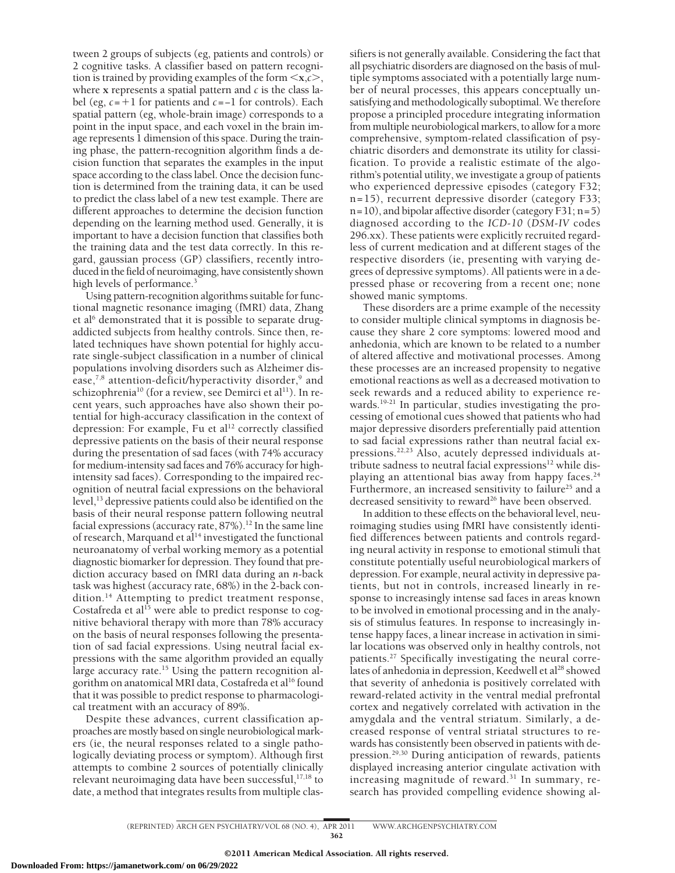tween 2 groups of subjects (eg, patients and controls) or 2 cognitive tasks. A classifier based on pattern recognition is trained by providing examples of the form  $\leq x, c$ , where **x** represents a spatial pattern and *c* is the class label (eg, *c*=1 for patients and *c*=−1 for controls). Each spatial pattern (eg, whole-brain image) corresponds to a point in the input space, and each voxel in the brain image represents 1 dimension of this space. During the training phase, the pattern-recognition algorithm finds a decision function that separates the examples in the input space according to the class label. Once the decision function is determined from the training data, it can be used to predict the class label of a new test example. There are different approaches to determine the decision function depending on the learning method used. Generally, it is important to have a decision function that classifies both the training data and the test data correctly. In this regard, gaussian process (GP) classifiers, recently introduced in the field of neuroimaging, have consistently shown high levels of performance.<sup>3</sup>

Using pattern-recognition algorithms suitable for functional magnetic resonance imaging (fMRI) data, Zhang et al<sup>6</sup> demonstrated that it is possible to separate drugaddicted subjects from healthy controls. Since then, related techniques have shown potential for highly accurate single-subject classification in a number of clinical populations involving disorders such as Alzheimer disease,<sup>7,8</sup> attention-deficit/hyperactivity disorder, $9$  and schizophrenia<sup>10</sup> (for a review, see Demirci et al<sup>11</sup>). In recent years, such approaches have also shown their potential for high-accuracy classification in the context of depression: For example, Fu et al<sup>12</sup> correctly classified depressive patients on the basis of their neural response during the presentation of sad faces (with 74% accuracy for medium-intensity sad faces and 76% accuracy for highintensity sad faces). Corresponding to the impaired recognition of neutral facial expressions on the behavioral level,<sup>13</sup> depressive patients could also be identified on the basis of their neural response pattern following neutral facial expressions (accuracy rate,  $87\%$ ).<sup>12</sup> In the same line of research, Marquand et al<sup>14</sup> investigated the functional neuroanatomy of verbal working memory as a potential diagnostic biomarker for depression. They found that prediction accuracy based on fMRI data during an *n*-back task was highest (accuracy rate, 68%) in the 2-back condition.<sup>14</sup> Attempting to predict treatment response, Costafreda et al<sup>15</sup> were able to predict response to cognitive behavioral therapy with more than 78% accuracy on the basis of neural responses following the presentation of sad facial expressions. Using neutral facial expressions with the same algorithm provided an equally large accuracy rate.<sup>15</sup> Using the pattern recognition algorithm on anatomical MRI data, Costafreda et al<sup>16</sup> found that it was possible to predict response to pharmacological treatment with an accuracy of 89%.

Despite these advances, current classification approaches are mostly based on single neurobiological markers (ie, the neural responses related to a single pathologically deviating process or symptom). Although first attempts to combine 2 sources of potentially clinically relevant neuroimaging data have been successful, $17,18$  to date, a method that integrates results from multiple classifiers is not generally available. Considering the fact that all psychiatric disorders are diagnosed on the basis of multiple symptoms associated with a potentially large number of neural processes, this appears conceptually unsatisfying and methodologically suboptimal. We therefore propose a principled procedure integrating information from multiple neurobiological markers, to allow for a more comprehensive, symptom-related classification of psychiatric disorders and demonstrate its utility for classification. To provide a realistic estimate of the algorithm's potential utility, we investigate a group of patients who experienced depressive episodes (category F32; n=15), recurrent depressive disorder (category F33; n=10), and bipolar affective disorder (category F31; n=5) diagnosed according to the *ICD-10* (*DSM-IV* codes 296.xx). These patients were explicitly recruited regardless of current medication and at different stages of the respective disorders (ie, presenting with varying degrees of depressive symptoms). All patients were in a depressed phase or recovering from a recent one; none showed manic symptoms.

These disorders are a prime example of the necessity to consider multiple clinical symptoms in diagnosis because they share 2 core symptoms: lowered mood and anhedonia, which are known to be related to a number of altered affective and motivational processes. Among these processes are an increased propensity to negative emotional reactions as well as a decreased motivation to seek rewards and a reduced ability to experience rewards.19-21 In particular, studies investigating the processing of emotional cues showed that patients who had major depressive disorders preferentially paid attention to sad facial expressions rather than neutral facial expressions.22,23 Also, acutely depressed individuals attribute sadness to neutral facial expressions<sup>12</sup> while displaying an attentional bias away from happy faces.<sup>24</sup> Furthermore, an increased sensitivity to failure<sup>25</sup> and a decreased sensitivity to reward<sup>26</sup> have been observed.

In addition to these effects on the behavioral level, neuroimaging studies using fMRI have consistently identified differences between patients and controls regarding neural activity in response to emotional stimuli that constitute potentially useful neurobiological markers of depression. For example, neural activity in depressive patients, but not in controls, increased linearly in response to increasingly intense sad faces in areas known to be involved in emotional processing and in the analysis of stimulus features. In response to increasingly intense happy faces, a linear increase in activation in similar locations was observed only in healthy controls, not patients.27 Specifically investigating the neural correlates of anhedonia in depression, Keedwell et al<sup>28</sup> showed that severity of anhedonia is positively correlated with reward-related activity in the ventral medial prefrontal cortex and negatively correlated with activation in the amygdala and the ventral striatum. Similarly, a decreased response of ventral striatal structures to rewards has consistently been observed in patients with depression.29,30 During anticipation of rewards, patients displayed increasing anterior cingulate activation with increasing magnitude of reward.<sup>31</sup> In summary, research has provided compelling evidence showing al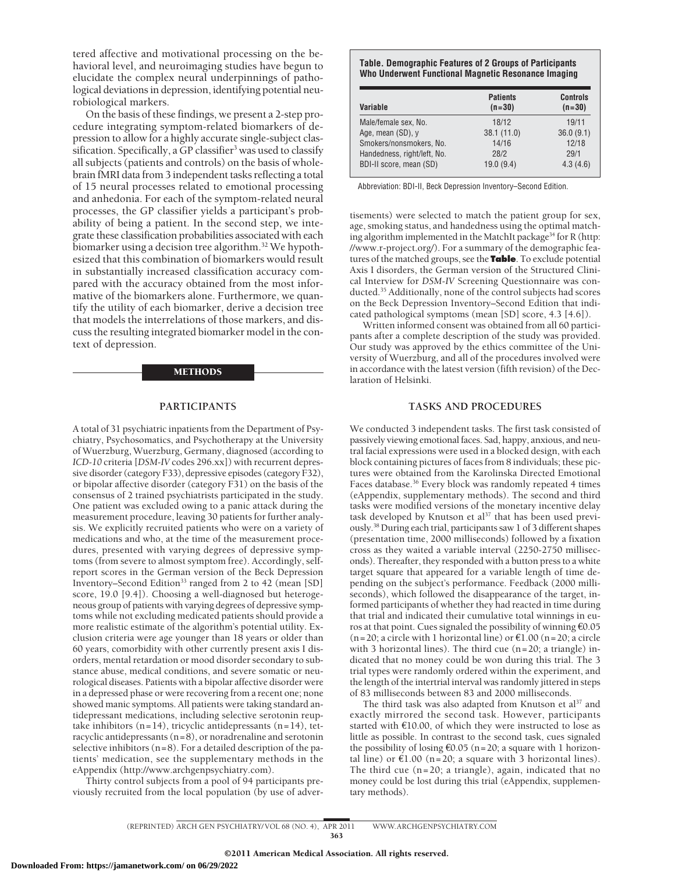tered affective and motivational processing on the behavioral level, and neuroimaging studies have begun to elucidate the complex neural underpinnings of pathological deviations in depression, identifying potential neurobiological markers.

On the basis of these findings, we present a 2-step procedure integrating symptom-related biomarkers of depression to allow for a highly accurate single-subject classification. Specifically, a GP classifier<sup>3</sup> was used to classify all subjects (patients and controls) on the basis of wholebrain fMRI data from 3 independent tasks reflecting a total of 15 neural processes related to emotional processing and anhedonia. For each of the symptom-related neural processes, the GP classifier yields a participant's probability of being a patient. In the second step, we integrate these classification probabilities associated with each biomarker using a decision tree algorithm.<sup>32</sup> We hypothesized that this combination of biomarkers would result in substantially increased classification accuracy compared with the accuracy obtained from the most informative of the biomarkers alone. Furthermore, we quantify the utility of each biomarker, derive a decision tree that models the interrelations of those markers, and discuss the resulting integrated biomarker model in the context of depression.

#### METHODS

### **PARTICIPANTS**

A total of 31 psychiatric inpatients from the Department of Psychiatry, Psychosomatics, and Psychotherapy at the University of Wuerzburg, Wuerzburg, Germany, diagnosed (according to *ICD-10* criteria [*DSM-IV* codes 296.xx]) with recurrent depressive disorder (category F33), depressive episodes (category F32), or bipolar affective disorder (category F31) on the basis of the consensus of 2 trained psychiatrists participated in the study. One patient was excluded owing to a panic attack during the measurement procedure, leaving 30 patients for further analysis. We explicitly recruited patients who were on a variety of medications and who, at the time of the measurement procedures, presented with varying degrees of depressive symptoms (from severe to almost symptom free). Accordingly, selfreport scores in the German version of the Beck Depression Inventory–Second Edition<sup>33</sup> ranged from 2 to 42 (mean [SD] score, 19.0 [9.4]). Choosing a well-diagnosed but heterogeneous group of patients with varying degrees of depressive symptoms while not excluding medicated patients should provide a more realistic estimate of the algorithm's potential utility. Exclusion criteria were age younger than 18 years or older than 60 years, comorbidity with other currently present axis I disorders, mental retardation or mood disorder secondary to substance abuse, medical conditions, and severe somatic or neurological diseases. Patients with a bipolar affective disorder were in a depressed phase or were recovering from a recent one; none showed manic symptoms. All patients were taking standard antidepressant medications, including selective serotonin reuptake inhibitors  $(n=14)$ , tricyclic antidepressants  $(n=14)$ , tetracyclic antidepressants (n=8), or noradrenaline and serotonin selective inhibitors  $(n=8)$ . For a detailed description of the patients' medication, see the supplementary methods in the eAppendix (http://www.archgenpsychiatry.com).

Thirty control subjects from a pool of 94 participants previously recruited from the local population (by use of adver-

#### **Table. Demographic Features of 2 Groups of Participants Who Underwent Functional Magnetic Resonance Imaging**

| Variable                    | <b>Patients</b><br>$(n=30)$ | <b>Controls</b><br>$(n=30)$ |
|-----------------------------|-----------------------------|-----------------------------|
| Male/female sex, No.        | 18/12                       | 19/11                       |
| Age, mean (SD), y           | 38.1 (11.0)                 | 36.0(9.1)                   |
| Smokers/nonsmokers, No.     | 14/16                       | 12/18                       |
| Handedness, right/left, No. | 28/2                        | 29/1                        |
| BDI-II score, mean (SD)     | 19.0(9.4)                   | 4.3(4.6)                    |

Abbreviation: BDI-II, Beck Depression Inventory–Second Edition.

tisements) were selected to match the patient group for sex, age, smoking status, and handedness using the optimal matching algorithm implemented in the MatchIt package<sup>34</sup> for R (http: //www.r-project.org/). For a summary of the demographic features of the matched groups, see the **Table**. To exclude potential Axis I disorders, the German version of the Structured Clinical Interview for *DSM-IV* Screening Questionnaire was conducted.35 Additionally, none of the control subjects had scores on the Beck Depression Inventory–Second Edition that indicated pathological symptoms (mean [SD] score, 4.3 [4.6]).

Written informed consent was obtained from all 60 participants after a complete description of the study was provided. Our study was approved by the ethics committee of the University of Wuerzburg, and all of the procedures involved were in accordance with the latest version (fifth revision) of the Declaration of Helsinki.

## **TASKS AND PROCEDURES**

We conducted 3 independent tasks. The first task consisted of passively viewing emotional faces. Sad, happy, anxious, and neutral facial expressions were used in a blocked design, with each block containing pictures of faces from 8 individuals; these pictures were obtained from the Karolinska Directed Emotional Faces database.<sup>36</sup> Every block was randomly repeated 4 times (eAppendix, supplementary methods). The second and third tasks were modified versions of the monetary incentive delay task developed by Knutson et al<sup>37</sup> that has been used previously.38 During each trial, participants saw 1 of 3 different shapes (presentation time, 2000 milliseconds) followed by a fixation cross as they waited a variable interval (2250-2750 milliseconds). Thereafter, they responded with a button press to a white target square that appeared for a variable length of time depending on the subject's performance. Feedback (2000 milliseconds), which followed the disappearance of the target, informed participants of whether they had reacted in time during that trial and indicated their cumulative total winnings in euros at that point. Cues signaled the possibility of winning €0.05  $(n=20; a$  circle with 1 horizontal line) or  $E1.00$  (n=20; a circle with 3 horizontal lines). The third cue (n=20; a triangle) indicated that no money could be won during this trial. The 3 trial types were randomly ordered within the experiment, and the length of the intertrial interval was randomly jittered in steps of 83 milliseconds between 83 and 2000 milliseconds.

The third task was also adapted from Knutson et al<sup>37</sup> and exactly mirrored the second task. However, participants started with €10.00, of which they were instructed to lose as little as possible. In contrast to the second task, cues signaled the possibility of losing  $\epsilon$ 0.05 (n=20; a square with 1 horizontal line) or  $E1.00$  (n=20; a square with 3 horizontal lines). The third cue (n=20; a triangle), again, indicated that no money could be lost during this trial (eAppendix, supplementary methods).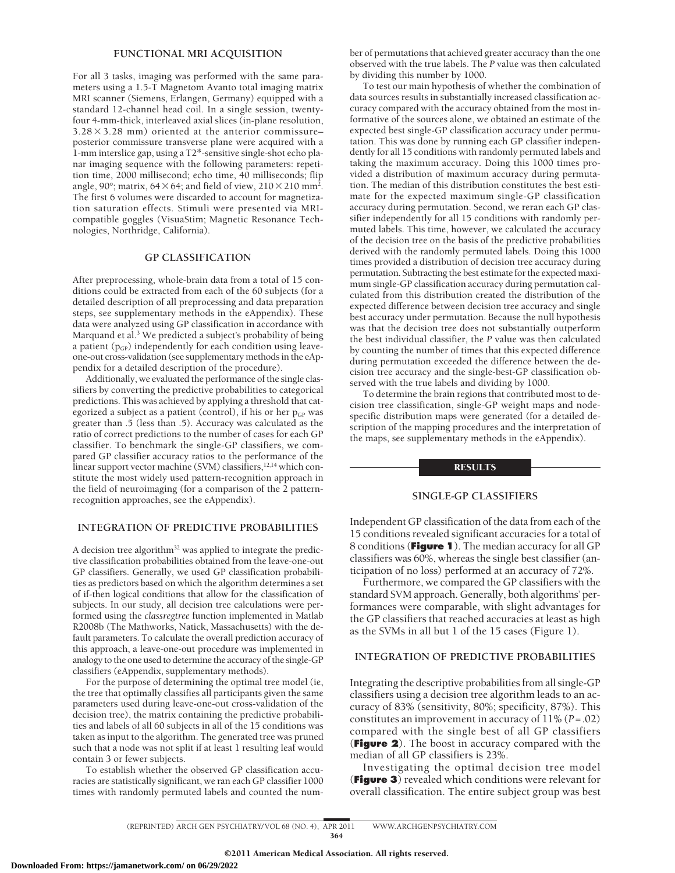# **FUNCTIONAL MRI ACQUISITION**

For all 3 tasks, imaging was performed with the same parameters using a 1.5-T Magnetom Avanto total imaging matrix MRI scanner (Siemens, Erlangen, Germany) equipped with a standard 12-channel head coil. In a single session, twentyfour 4-mm-thick, interleaved axial slices (in-plane resolution,  $3.28 \times 3.28$  mm) oriented at the anterior commissure– posterior commissure transverse plane were acquired with a 1-mm interslice gap, using a T2\*-sensitive single-shot echo planar imaging sequence with the following parameters: repetition time, 2000 millisecond; echo time, 40 milliseconds; flip angle, 90°; matrix, 64 $\times$  64; and field of view, 210 $\times$ 210 mm<sup>2</sup>. The first 6 volumes were discarded to account for magnetization saturation effects. Stimuli were presented via MRIcompatible goggles (VisuaStim; Magnetic Resonance Technologies, Northridge, California).

# **GP CLASSIFICATION**

After preprocessing, whole-brain data from a total of 15 conditions could be extracted from each of the 60 subjects (for a detailed description of all preprocessing and data preparation steps, see supplementary methods in the eAppendix). These data were analyzed using GP classification in accordance with Marquand et al.3 We predicted a subject's probability of being a patient  $(p_{GP})$  independently for each condition using leaveone-out cross-validation (see supplementary methods in the eAppendix for a detailed description of the procedure).

Additionally, we evaluated the performance of the single classifiers by converting the predictive probabilities to categorical predictions. This was achieved by applying a threshold that categorized a subject as a patient (control), if his or her  $p_{GP}$  was greater than .5 (less than .5). Accuracy was calculated as the ratio of correct predictions to the number of cases for each GP classifier. To benchmark the single-GP classifiers, we compared GP classifier accuracy ratios to the performance of the linear support vector machine (SVM) classifiers,<sup>12,14</sup> which constitute the most widely used pattern-recognition approach in the field of neuroimaging (for a comparison of the 2 patternrecognition approaches, see the eAppendix).

# **INTEGRATION OF PREDICTIVE PROBABILITIES**

A decision tree algorithm<sup>32</sup> was applied to integrate the predictive classification probabilities obtained from the leave-one-out GP classifiers. Generally, we used GP classification probabilities as predictors based on which the algorithm determines a set of if-then logical conditions that allow for the classification of subjects. In our study, all decision tree calculations were performed using the *classregtree* function implemented in Matlab R2008b (The Mathworks, Natick, Massachusetts) with the default parameters. To calculate the overall prediction accuracy of this approach, a leave-one-out procedure was implemented in analogy to the one used to determine the accuracy of the single-GP classifiers (eAppendix, supplementary methods).

For the purpose of determining the optimal tree model (ie, the tree that optimally classifies all participants given the same parameters used during leave-one-out cross-validation of the decision tree), the matrix containing the predictive probabilities and labels of all 60 subjects in all of the 15 conditions was taken as input to the algorithm. The generated tree was pruned such that a node was not split if at least 1 resulting leaf would contain 3 or fewer subjects.

To establish whether the observed GP classification accuracies are statistically significant, we ran each GP classifier 1000 times with randomly permuted labels and counted the number of permutations that achieved greater accuracy than the one observed with the true labels. The *P* value was then calculated by dividing this number by 1000.

To test our main hypothesis of whether the combination of data sources results in substantially increased classification accuracy compared with the accuracy obtained from the most informative of the sources alone, we obtained an estimate of the expected best single-GP classification accuracy under permutation. This was done by running each GP classifier independently for all 15 conditions with randomly permuted labels and taking the maximum accuracy. Doing this 1000 times provided a distribution of maximum accuracy during permutation. The median of this distribution constitutes the best estimate for the expected maximum single-GP classification accuracy during permutation. Second, we reran each GP classifier independently for all 15 conditions with randomly permuted labels. This time, however, we calculated the accuracy of the decision tree on the basis of the predictive probabilities derived with the randomly permuted labels. Doing this 1000 times provided a distribution of decision tree accuracy during permutation. Subtracting the best estimate for the expected maximum single-GP classification accuracy during permutation calculated from this distribution created the distribution of the expected difference between decision tree accuracy and single best accuracy under permutation. Because the null hypothesis was that the decision tree does not substantially outperform the best individual classifier, the *P* value was then calculated by counting the number of times that this expected difference during permutation exceeded the difference between the decision tree accuracy and the single-best-GP classification observed with the true labels and dividing by 1000.

To determine the brain regions that contributed most to decision tree classification, single-GP weight maps and nodespecific distribution maps were generated (for a detailed description of the mapping procedures and the interpretation of the maps, see supplementary methods in the eAppendix).

## **RESULTS**

## **SINGLE-GP CLASSIFIERS**

Independent GP classification of the data from each of the 15 conditions revealed significant accuracies for a total of 8 conditions (**Figure 1**). The median accuracy for all GP classifiers was 60%, whereas the single best classifier (anticipation of no loss) performed at an accuracy of 72%.

Furthermore, we compared the GP classifiers with the standard SVM approach. Generally, both algorithms' performances were comparable, with slight advantages for the GP classifiers that reached accuracies at least as high as the SVMs in all but 1 of the 15 cases (Figure 1).

## **INTEGRATION OF PREDICTIVE PROBABILITIES**

Integrating the descriptive probabilities from all single-GP classifiers using a decision tree algorithm leads to an accuracy of 83% (sensitivity, 80%; specificity, 87%). This constitutes an improvement in accuracy of 11% (*P*=.02) compared with the single best of all GP classifiers (**Figure 2**). The boost in accuracy compared with the median of all GP classifiers is 23%.

Investigating the optimal decision tree model (**Figure 3**) revealed which conditions were relevant for overall classification. The entire subject group was best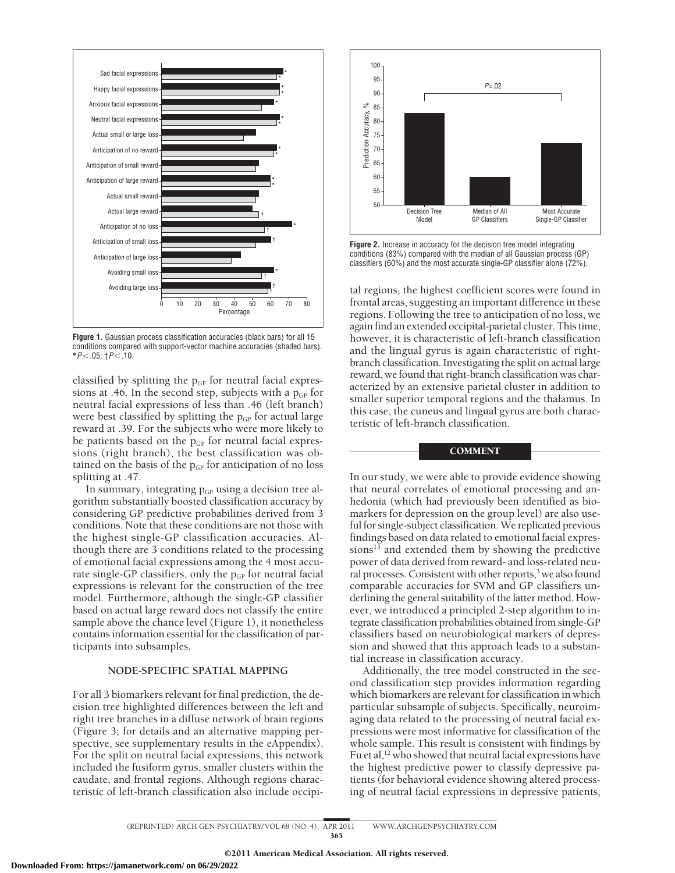

**Figure 1.** Gaussian process classification accuracies (black bars) for all 15 conditions compared with support-vector machine accuracies (shaded bars). **\****P*-.05; †*P*-.10.

classified by splitting the  $p_{GP}$  for neutral facial expressions at .46. In the second step, subjects with a  $p_{GP}$  for neutral facial expressions of less than .46 (left branch) were best classified by splitting the  $p_{GP}$  for actual large reward at .39. For the subjects who were more likely to be patients based on the  $p_{GP}$  for neutral facial expressions (right branch), the best classification was obtained on the basis of the  $p_{GP}$  for anticipation of no loss splitting at .47.

In summary, integrating  $p_{GP}$  using a decision tree algorithm substantially boosted classification accuracy by considering GP predictive probabilities derived from 3 conditions. Note that these conditions are not those with the highest single-GP classification accuracies. Although there are 3 conditions related to the processing of emotional facial expressions among the 4 most accurate single-GP classifiers, only the  $p_{GP}$  for neutral facial expressions is relevant for the construction of the tree model. Furthermore, although the single-GP classifier based on actual large reward does not classify the entire sample above the chance level (Figure 1), it nonetheless contains information essential for the classification of participants into subsamples.

# **NODE-SPECIFIC SPATIAL MAPPING**

For all 3 biomarkers relevant for final prediction, the decision tree highlighted differences between the left and right tree branches in a diffuse network of brain regions (Figure 3; for details and an alternative mapping perspective, see supplementary results in the eAppendix). For the split on neutral facial expressions, this network included the fusiform gyrus, smaller clusters within the caudate, and frontal regions. Although regions characteristic of left-branch classification also include occipi-



**Figure 2.** Increase in accuracy for the decision tree model integrating conditions (83%) compared with the median of all Gaussian process (GP) classifiers (60%) and the most accurate single-GP classifier alone (72%).

tal regions, the highest coefficient scores were found in frontal areas, suggesting an important difference in these regions. Following the tree to anticipation of no loss, we again find an extended occipital-parietal cluster. This time, however, it is characteristic of left-branch classification and the lingual gyrus is again characteristic of rightbranch classification. Investigating the split on actual large reward, we found that right-branch classification was characterized by an extensive parietal cluster in addition to smaller superior temporal regions and the thalamus. In this case, the cuneus and lingual gyrus are both characteristic of left-branch classification.

## **COMMENT**

In our study, we were able to provide evidence showing that neural correlates of emotional processing and anhedonia (which had previously been identified as biomarkers for depression on the group level) are also useful for single-subject classification. We replicated previous findings based on data related to emotional facial expressions $^{13}$  and extended them by showing the predictive power of data derived from reward- and loss-related neural processes. Consistent with other reports,<sup>3</sup> we also found comparable accuracies for SVM and GP classifiers underlining the general suitability of the latter method. However, we introduced a principled 2-step algorithm to integrate classification probabilities obtained from single-GP classifiers based on neurobiological markers of depression and showed that this approach leads to a substantial increase in classification accuracy.

Additionally, the tree model constructed in the second classification step provides information regarding which biomarkers are relevant for classification in which particular subsample of subjects. Specifically, neuroimaging data related to the processing of neutral facial expressions were most informative for classification of the whole sample. This result is consistent with findings by Fu et al,<sup>12</sup> who showed that neutral facial expressions have the highest predictive power to classify depressive patients (for behavioral evidence showing altered processing of neutral facial expressions in depressive patients,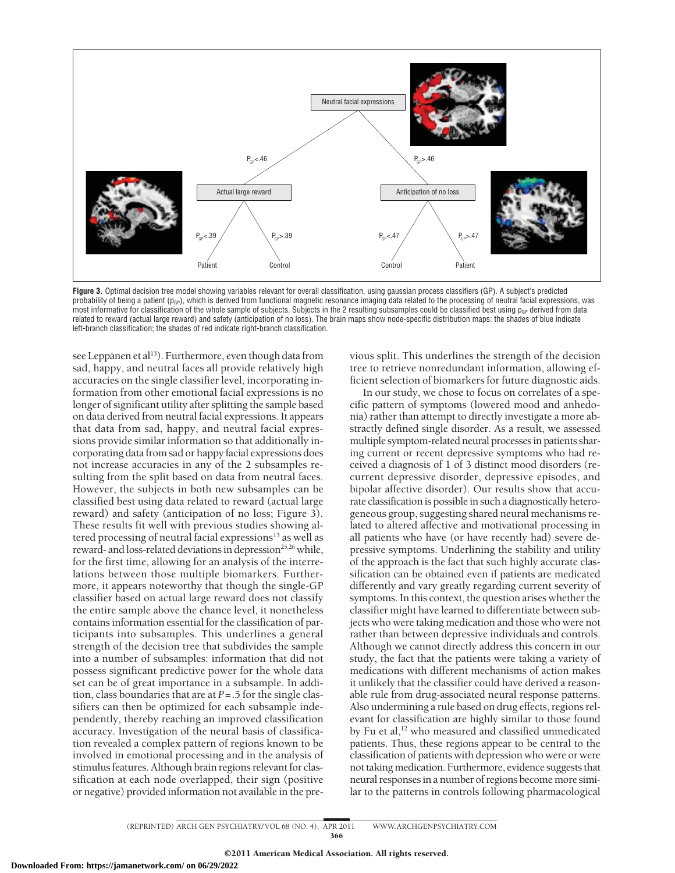

**Figure 3.** Optimal decision tree model showing variables relevant for overall classification, using gaussian process classifiers (GP). A subject's predicted probability of being a patient (p<sub>GP</sub>), which is derived from functional magnetic resonance imaging data related to the processing of neutral facial expressions, was most informative for classification of the whole sample of subjects. Subjects in the 2 resulting subsamples could be classified best using  $p_{GP}$  derived from data related to reward (actual large reward) and safety (anticipation of no loss). The brain maps show node-specific distribution maps: the shades of blue indicate left-branch classification; the shades of red indicate right-branch classification.

see Leppänen et al<sup>13</sup>). Furthermore, even though data from sad, happy, and neutral faces all provide relatively high accuracies on the single classifier level, incorporating information from other emotional facial expressions is no longer of significant utility after splitting the sample based on data derived from neutral facial expressions. It appears that data from sad, happy, and neutral facial expressions provide similar information so that additionally incorporating data from sad or happy facial expressions does not increase accuracies in any of the 2 subsamples resulting from the split based on data from neutral faces. However, the subjects in both new subsamples can be classified best using data related to reward (actual large reward) and safety (anticipation of no loss; Figure 3). These results fit well with previous studies showing altered processing of neutral facial expressions<sup>13</sup> as well as reward- and loss-related deviations in depression<sup>25,26</sup> while, for the first time, allowing for an analysis of the interrelations between those multiple biomarkers. Furthermore, it appears noteworthy that though the single-GP classifier based on actual large reward does not classify the entire sample above the chance level, it nonetheless contains information essential for the classification of participants into subsamples. This underlines a general strength of the decision tree that subdivides the sample into a number of subsamples: information that did not possess significant predictive power for the whole data set can be of great importance in a subsample. In addition, class boundaries that are at *P*=.5 for the single classifiers can then be optimized for each subsample independently, thereby reaching an improved classification accuracy. Investigation of the neural basis of classification revealed a complex pattern of regions known to be involved in emotional processing and in the analysis of stimulus features. Although brain regions relevant for classification at each node overlapped, their sign (positive or negative) provided information not available in the previous split. This underlines the strength of the decision tree to retrieve nonredundant information, allowing efficient selection of biomarkers for future diagnostic aids.

In our study, we chose to focus on correlates of a specific pattern of symptoms (lowered mood and anhedonia) rather than attempt to directly investigate a more abstractly defined single disorder. As a result, we assessed multiple symptom-related neural processes in patients sharing current or recent depressive symptoms who had received a diagnosis of 1 of 3 distinct mood disorders (recurrent depressive disorder, depressive episodes, and bipolar affective disorder). Our results show that accurate classification is possible in such a diagnostically heterogeneous group, suggesting shared neural mechanisms related to altered affective and motivational processing in all patients who have (or have recently had) severe depressive symptoms. Underlining the stability and utility of the approach is the fact that such highly accurate classification can be obtained even if patients are medicated differently and vary greatly regarding current severity of symptoms. In this context, the question arises whether the classifier might have learned to differentiate between subjects who were taking medication and those who were not rather than between depressive individuals and controls. Although we cannot directly address this concern in our study, the fact that the patients were taking a variety of medications with different mechanisms of action makes it unlikely that the classifier could have derived a reasonable rule from drug-associated neural response patterns. Also undermining a rule based on drug effects, regions relevant for classification are highly similar to those found by Fu et al,<sup>12</sup> who measured and classified unmedicated patients. Thus, these regions appear to be central to the classification of patients with depression who were or were not taking medication. Furthermore, evidence suggests that neural responses in a number of regions become more similar to the patterns in controls following pharmacological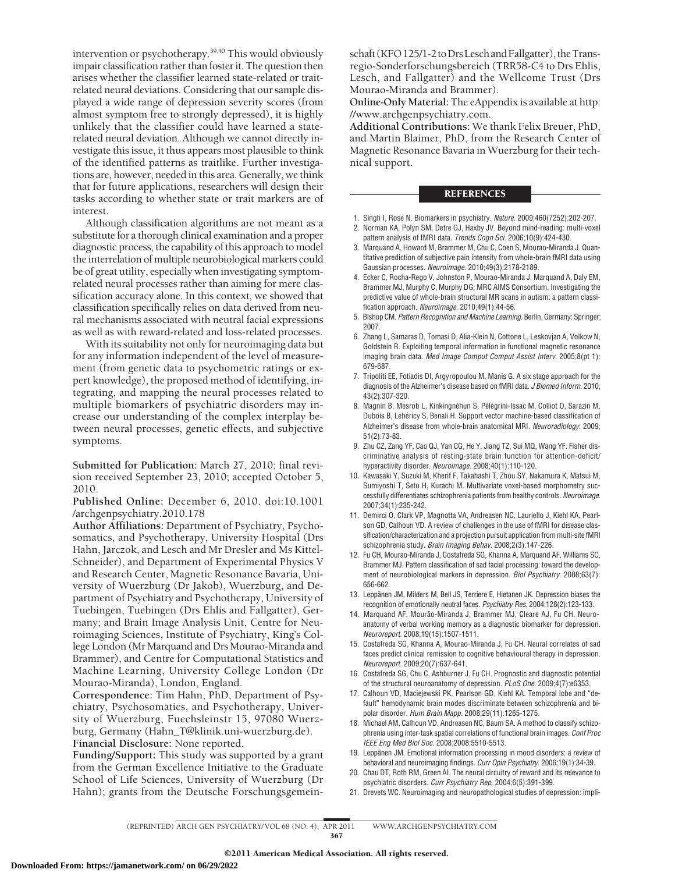intervention or psychotherapy.39,40 This would obviously impair classification rather than foster it. The question then arises whether the classifier learned state-related or traitrelated neural deviations. Considering that our sample displayed a wide range of depression severity scores (from almost symptom free to strongly depressed), it is highly unlikely that the classifier could have learned a staterelated neural deviation. Although we cannot directly investigate this issue, it thus appears most plausible to think of the identified patterns as traitlike. Further investigations are, however, needed in this area. Generally, we think that for future applications, researchers will design their tasks according to whether state or trait markers are of interest.

Although classification algorithms are not meant as a substitute for a thorough clinical examination and a proper diagnostic process, the capability of this approach to model the interrelation of multiple neurobiological markers could be of great utility, especially when investigating symptomrelated neural processes rather than aiming for mere classification accuracy alone. In this context, we showed that classification specifically relies on data derived from neural mechanisms associated with neutral facial expressions as well as with reward-related and loss-related processes.

With its suitability not only for neuroimaging data but for any information independent of the level of measurement (from genetic data to psychometric ratings or expert knowledge), the proposed method of identifying, integrating, and mapping the neural processes related to multiple biomarkers of psychiatric disorders may increase our understanding of the complex interplay between neural processes, genetic effects, and subjective symptoms.

**Submitted for Publication:** March 27, 2010; final revision received September 23, 2010; accepted October 5, 2010.

**Published Online:** December 6, 2010. doi:10.1001 /archgenpsychiatry.2010.178

**Author Affiliations:** Department of Psychiatry, Psychosomatics, and Psychotherapy, University Hospital (Drs Hahn, Jarczok, and Lesch and Mr Dresler and Ms Kittel-Schneider), and Department of Experimental Physics V and Research Center, Magnetic Resonance Bavaria, University of Wuerzburg (Dr Jakob), Wuerzburg, and Department of Psychiatry and Psychotherapy, University of Tuebingen, Tuebingen (Drs Ehlis and Fallgatter), Germany; and Brain Image Analysis Unit, Centre for Neuroimaging Sciences, Institute of Psychiatry, King's College London (Mr Marquand and Drs Mourao-Miranda and Brammer), and Centre for Computational Statistics and Machine Learning, University College London (Dr Mourao-Miranda), London, England.

**Correspondence:** Tim Hahn, PhD, Department of Psychiatry, Psychosomatics, and Psychotherapy, University of Wuerzburg, Fuechsleinstr 15, 97080 Wuerzburg, Germany (Hahn\_T@klinik.uni-wuerzburg.de). **Financial Disclosure:** None reported.

**Funding/Support:** This study was supported by a grant from the German Excellence Initiative to the Graduate School of Life Sciences, University of Wuerzburg (Dr Hahn); grants from the Deutsche Forschungsgemeinschaft (KFO125/1-2 to Drs Lesch and Fallgatter), the Transregio-Sonderforschungsbereich (TRR58-C4 to Drs Ehlis, Lesch, and Fallgatter) and the Wellcome Trust (Drs Mourao-Miranda and Brammer).

**Online-Only Material:** The eAppendix is available at http: //www.archgenpsychiatry.com.

**Additional Contributions:** We thank Felix Breuer, PhD, and Martin Blaimer, PhD, from the Research Center of Magnetic Resonance Bavaria in Wuerzburg for their technical support.

## **REFERENCES**

- 1. Singh I, Rose N. Biomarkers in psychiatry. *Nature*. 2009;460(7252):202-207.
- 2. Norman KA, Polyn SM, Detre GJ, Haxby JV. Beyond mind-reading: multi-voxel pattern analysis of fMRI data. *Trends Cogn Sci*. 2006;10(9):424-430.
- 3. Marquand A, Howard M, Brammer M, Chu C, Coen S, Mourao-Miranda J. Quantitative prediction of subjective pain intensity from whole-brain fMRI data using Gaussian processes. *Neuroimage*. 2010;49(3):2178-2189.
- 4. Ecker C, Rocha-Rego V, Johnston P, Mourao-Miranda J, Marquand A, Daly EM, Brammer MJ, Murphy C, Murphy DG; MRC AIMS Consortium. Investigating the predictive value of whole-brain structural MR scans in autism: a pattern classification approach. *Neuroimage*. 2010;49(1):44-56.
- 5. Bishop CM. *Pattern Recognition and Machine Learning.* Berlin, Germany: Springer; 2007.
- 6. Zhang L, Samaras D, Tomasi D, Alia-Klein N, Cottone L, Leskovjan A, Volkow N, Goldstein R. Exploiting temporal information in functional magnetic resonance imaging brain data. *Med Image Comput Comput Assist Interv*. 2005;8(pt 1): 679-687.
- 7. Tripoliti EE, Fotiadis DI, Argyropoulou M, Manis G. A six stage approach for the diagnosis of the Alzheimer's disease based on fMRI data. *J Biomed Inform*. 2010; 43(2):307-320.
- 8. Magnin B, Mesrob L, Kinkingnéhun S, Pélégrini-Issac M, Colliot O, Sarazin M, Dubois B, Lehéricy S, Benali H. Support vector machine-based classification of Alzheimer's disease from whole-brain anatomical MRI. *Neuroradiology*. 2009; 51(2):73-83.
- 9. Zhu CZ, Zang YF, Cao QJ, Yan CG, He Y, Jiang TZ, Sui MQ, Wang YF. Fisher discriminative analysis of resting-state brain function for attention-deficit/ hyperactivity disorder. *Neuroimage*. 2008;40(1):110-120.
- 10. Kawasaki Y, Suzuki M, Kherif F, Takahashi T, Zhou SY, Nakamura K, Matsui M, Sumiyoshi T, Seto H, Kurachi M. Multivariate voxel-based morphometry successfully differentiates schizophrenia patients from healthy controls. *Neuroimage*. 2007;34(1):235-242.
- 11. Demirci O, Clark VP, Magnotta VA, Andreasen NC, Lauriello J, Kiehl KA, Pearlson GD, Calhoun VD. A review of challenges in the use of fMRI for disease classification/characterization and a projection pursuit application from multi-site fMRI schizophrenia study. *Brain Imaging Behav*. 2008;2(3):147-226.
- 12. Fu CH, Mourao-Miranda J, Costafreda SG, Khanna A, Marquand AF, Williams SC, Brammer MJ. Pattern classification of sad facial processing: toward the development of neurobiological markers in depression. *Biol Psychiatry*. 2008;63(7): 656-662.
- 13. Leppänen JM, Milders M, Bell JS, Terriere E, Hietanen JK. Depression biases the recognition of emotionally neutral faces. *Psychiatry Res*. 2004;128(2):123-133.
- 14. Marquand AF, Mourão-Miranda J, Brammer MJ, Cleare AJ, Fu CH. Neuroanatomy of verbal working memory as a diagnostic biomarker for depression. *Neuroreport*. 2008;19(15):1507-1511.
- 15. Costafreda SG, Khanna A, Mourao-Miranda J, Fu CH. Neural correlates of sad faces predict clinical remission to cognitive behavioural therapy in depression. *Neuroreport*. 2009;20(7):637-641.
- 16. Costafreda SG, Chu C, Ashburner J, Fu CH. Prognostic and diagnostic potential of the structural neuroanatomy of depression. *PLoS One*. 2009;4(7):e6353.
- 17. Calhoun VD, Maciejewski PK, Pearlson GD, Kiehl KA. Temporal lobe and "default" hemodynamic brain modes discriminate between schizophrenia and bipolar disorder. *Hum Brain Mapp*. 2008;29(11):1265-1275.
- 18. Michael AM, Calhoun VD, Andreasen NC, Baum SA. A method to classify schizophrenia using inter-task spatial correlations of functional brain images. *Conf Proc IEEE Eng Med Biol Soc*. 2008;2008:5510-5513.
- 19. Leppänen JM. Emotional information processing in mood disorders: a review of behavioral and neuroimaging findings. *Curr Opin Psychiatry*. 2006;19(1):34-39.
- 20. Chau DT, Roth RM, Green AI. The neural circuitry of reward and its relevance to psychiatric disorders. *Curr Psychiatry Rep*. 2004;6(5):391-399.
- 21. Drevets WC. Neuroimaging and neuropathological studies of depression: impli-

(REPRINTED) ARCH GEN PSYCHIATRY/ VOL 68 (NO. 4), APR 2011 WWW.ARCHGENPSYCHIATRY.COM 367